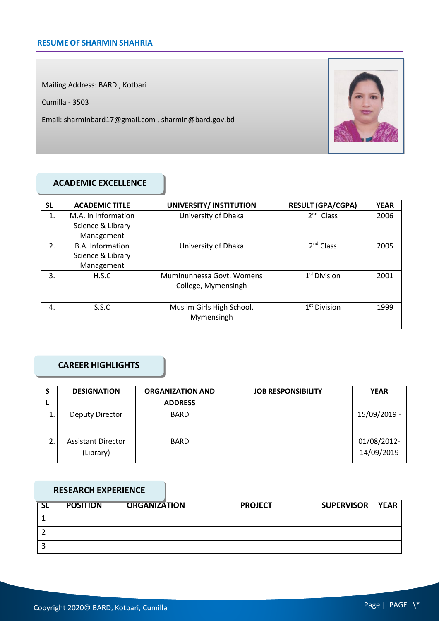Mailing Address: BARD , Kotbari

Cumilla - 3503

Email: sharminbard17@gmail.com , sharmin@bard.gov.bd



### **ACADEMIC EXCELLENCE**

| <b>SL</b> | <b>ACADEMIC TITLE</b>   | UNIVERSITY/ INSTITUTION   | <b>RESULT (GPA/CGPA)</b> | <b>YEAR</b> |
|-----------|-------------------------|---------------------------|--------------------------|-------------|
| 1.        | M.A. in Information     | University of Dhaka       | $2nd$ Class              | 2006        |
|           | Science & Library       |                           |                          |             |
|           | Management              |                           |                          |             |
| 2.        | <b>B.A. Information</b> | University of Dhaka       | 2 <sup>nd</sup> Class    | 2005        |
|           | Science & Library       |                           |                          |             |
|           | Management              |                           |                          |             |
| 3.        | H.S.C                   | Muminunnessa Govt, Womens | $1st$ Division           | 2001        |
|           |                         | College, Mymensingh       |                          |             |
|           |                         |                           |                          |             |
| 4.        | S.S.C                   | Muslim Girls High School, | 1 <sup>st</sup> Division | 1999        |
|           |                         | Mymensingh                |                          |             |
|           |                         |                           |                          |             |

### **CAREER HIGHLIGHTS**

| S  | <b>DESIGNATION</b>                     | <b>ORGANIZATION AND</b> | <b>JOB RESPONSIBILITY</b> | <b>YEAR</b>               |
|----|----------------------------------------|-------------------------|---------------------------|---------------------------|
|    |                                        | <b>ADDRESS</b>          |                           |                           |
| ᆠ. | Deputy Director                        | <b>BARD</b>             |                           | 15/09/2019 -              |
| 2. | <b>Assistant Director</b><br>(Library) | <b>BARD</b>             |                           | 01/08/2012-<br>14/09/2019 |

#### **RESEARCH EXPERIENCE**

| <b>SL</b> | <b>POSITION</b> | <b>ORGANIZATION</b> | <b>PROJECT</b> | <b>SUPERVISOR</b> | <b>YEAR</b> |
|-----------|-----------------|---------------------|----------------|-------------------|-------------|
|           |                 |                     |                |                   |             |
|           |                 |                     |                |                   |             |
|           |                 |                     |                |                   |             |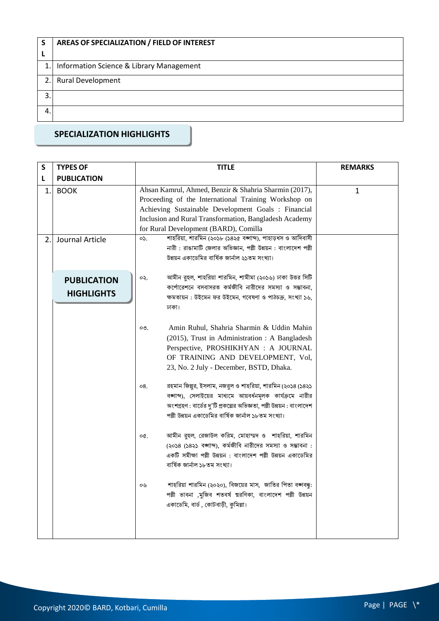| S  | AREAS OF SPECIALIZATION / FIELD OF INTEREST |  |
|----|---------------------------------------------|--|
|    |                                             |  |
|    | 1. Information Science & Library Management |  |
| 2. | <b>Rural Development</b>                    |  |
| 3. |                                             |  |
| 4. |                                             |  |

# **SPECIALIZATION HIGHLIGHTS**

| S  | <b>TYPES OF</b>                         | <b>TITLE</b>                                                                                                                                                                                                                                                            | <b>REMARKS</b> |
|----|-----------------------------------------|-------------------------------------------------------------------------------------------------------------------------------------------------------------------------------------------------------------------------------------------------------------------------|----------------|
| L  | <b>PUBLICATION</b>                      |                                                                                                                                                                                                                                                                         |                |
| 1. | <b>BOOK</b>                             | Ahsan Kamrul, Ahmed, Benzir & Shahria Sharmin (2017),<br>Proceeding of the International Training Workshop on<br>Achieving Sustainable Development Goals : Financial<br>Inclusion and Rural Transformation, Bangladesh Academy<br>for Rural Development (BARD), Comilla | 1              |
| 2. | Journal Article                         | শাহরিয়া, শারমিন (২০১৮ (১৪২৫ বঙ্গাব্দ), পাহাড়ধস ও আদিবাসী<br>OS.<br>নারী: রাঙামাটি জেলার অভিজ্ঞান, পল্লী উন্নয়ন: বাংলাদেশ পল্লী<br>উন্নয়ন একাডেমির বার্ষিক জার্নাল ২১তম সংখ্যা।                                                                                      |                |
|    | <b>PUBLICATION</b><br><b>HIGHLIGHTS</b> | আমীন রুহল, শাহরিয়া শারমিন, শামীমা (২০১৬) ঢাকা উত্তর সিটি<br>oş.<br>কর্পোরেশনে বসবাসরত কর্মজীবি নারীদের সমস্যা ও সম্ভাবনা,<br>ক্ষমতায়ন: উইমেন ফর উইমেন, গবেষণা ও পাঠচক্র, সংখ্যা ১৬,<br>ঢাকা।                                                                          |                |
|    |                                         | Amin Ruhul, Shahria Sharmin & Uddin Mahin<br>OQ<br>(2015), Trust in Administration : A Bangladesh<br>Perspective, PROSHIKHYAN : A JOURNAL<br>OF TRAINING AND DEVELOPMENT, Vol,<br>23, No. 2 July - December, BSTD, Dhaka.                                               |                |
|    |                                         | রহমান জিল্পুর, ইসলাম, নজরুল ও শাহরিয়া, শারমিন (২০১৪ (১৪২১<br>08.<br>বঙ্গাব্দ), সেলাইয়ের মাধ্যমে আয়বর্ধনমূলক কার্যক্রমে নারীর<br>অংশগ্রহণ : বার্ডের দু'টি প্রকল্পের অভিজ্ঞতা, পল্লী উন্নয়ন : বাংলাদেশ<br>পল্লী উন্নয়ন একাডেমির বার্ষিক জার্নাল ১৮তম সংখ্যা।         |                |
|    |                                         | আমীন রুহল, রেজাউল করিম, মোহাম্মদ ও শাহরিয়া, শারমিন<br>o¢.<br>(২০১৪ (১৪২১ বজ্ঞাব্দ), কর্মজীবি নারীদের সমস্যা ও সম্ভাবনা :<br>একটি সমীক্ষা পল্লী উন্নয়ন : বাংলাদেশ পল্লী উন্নয়ন একাডেমির<br>বাৰ্ষিক জাৰ্নাল ১৮তম সংখ্যা।                                               |                |
|    |                                         | শাহরিয়া শারমিন (২০২০), বিজয়ের মাস, জাতির পিতা বঙ্গবন্ধ:<br>or<br>পল্লী ভাবনা ,মুজিব শতবর্ষ ত্মরণিকা, বাংলাদেশ পল্লী উন্নয়ন<br>একাডেমি, বার্ড, কোটবাড়ী, কুমিল্লা।                                                                                                    |                |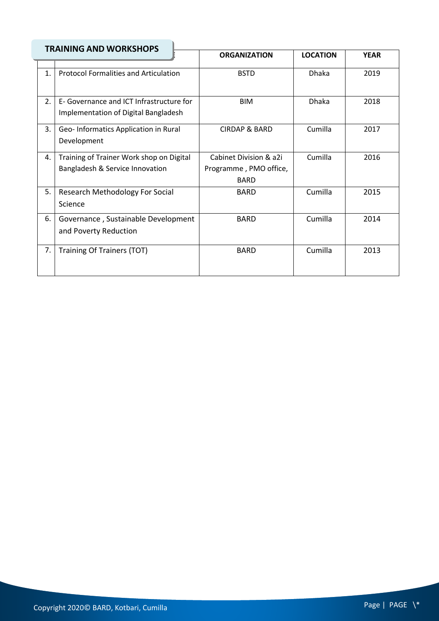| <b>TRAINING AND WORKSHOPS</b> |                                              |                          |                 |             |
|-------------------------------|----------------------------------------------|--------------------------|-----------------|-------------|
|                               |                                              | <b>ORGANIZATION</b>      | <b>LOCATION</b> | <b>YEAR</b> |
| $\mathbf{1}$ .                | <b>Protocol Formalities and Articulation</b> | <b>BSTD</b>              | <b>Dhaka</b>    | 2019        |
|                               |                                              |                          |                 |             |
|                               |                                              |                          |                 |             |
| $\overline{2}$ .              | E- Governance and ICT Infrastructure for     | <b>BIM</b>               | <b>Dhaka</b>    | 2018        |
|                               | Implementation of Digital Bangladesh         |                          |                 |             |
| 3.                            | Geo-Informatics Application in Rural         | <b>CIRDAP &amp; BARD</b> | Cumilla         | 2017        |
|                               | Development                                  |                          |                 |             |
|                               |                                              |                          |                 |             |
| 4.                            | Training of Trainer Work shop on Digital     | Cabinet Division & a2i   | Cumilla         | 2016        |
|                               | Bangladesh & Service Innovation              | Programme, PMO office,   |                 |             |
|                               |                                              | <b>BARD</b>              |                 |             |
| 5.                            | Research Methodology For Social              | <b>BARD</b>              | Cumilla         | 2015        |
|                               | Science                                      |                          |                 |             |
| 6.                            | Governance, Sustainable Development          | <b>BARD</b>              | Cumilla         | 2014        |
|                               | and Poverty Reduction                        |                          |                 |             |
|                               |                                              |                          |                 |             |
| 7.                            | Training Of Trainers (TOT)                   | <b>BARD</b>              | Cumilla         | 2013        |
|                               |                                              |                          |                 |             |
|                               |                                              |                          |                 |             |

Ų